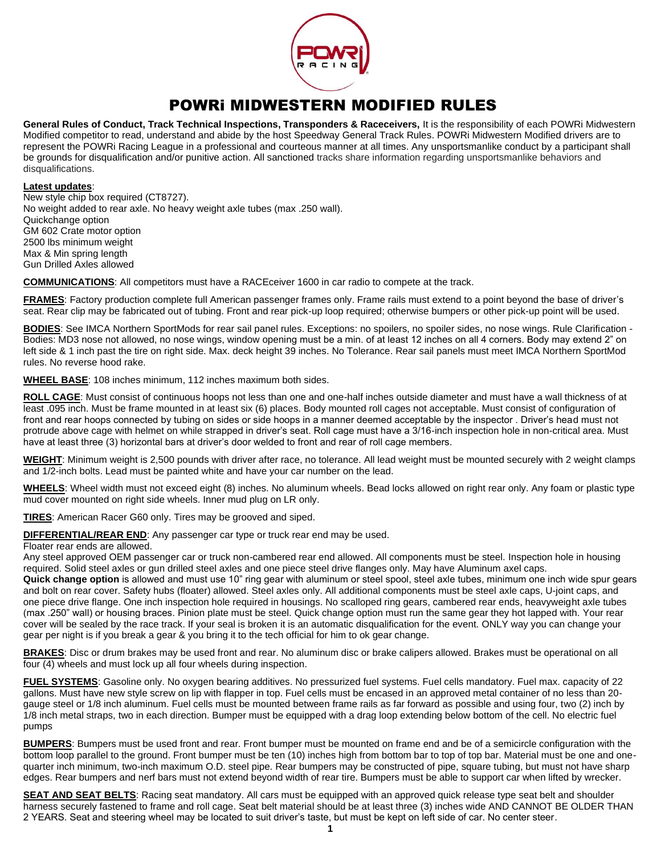

## POWRi MIDWESTERN MODIFIED RULES

**General Rules of Conduct, Track Technical Inspections, Transponders & Raceceivers,** It is the responsibility of each POWRi Midwestern Modified competitor to read, understand and abide by the host Speedway General Track Rules. POWRi Midwestern Modified drivers are to represent the POWRi Racing League in a professional and courteous manner at all times. Any unsportsmanlike conduct by a participant shall be grounds for disqualification and/or punitive action. All sanctioned tracks share information regarding unsportsmanlike behaviors and disqualifications.

## **Latest updates**:

New style chip box required (CT8727). No weight added to rear axle. No heavy weight axle tubes (max .250 wall). Quickchange option GM 602 Crate motor option 2500 lbs minimum weight Max & Min spring length Gun Drilled Axles allowed

**COMMUNICATIONS**: All competitors must have a RACEceiver 1600 in car radio to compete at the track.

**FRAMES**: Factory production complete full American passenger frames only. Frame rails must extend to a point beyond the base of driver's seat. Rear clip may be fabricated out of tubing. Front and rear pick-up loop required; otherwise bumpers or other pick-up point will be used.

BODIES: See IMCA Northern SportMods for rear sail panel rules. Exceptions: no spoilers, no spoiler sides, no nose wings. Rule Clarification -Bodies: MD3 nose not allowed, no nose wings, window opening must be a min. of at least 12 inches on all 4 corners. Body may extend 2" on left side & 1 inch past the tire on right side. Max. deck height 39 inches. No Tolerance. Rear sail panels must meet IMCA Northern SportMod rules. No reverse hood rake.

**WHEEL BASE**: 108 inches minimum, 112 inches maximum both sides.

**ROLL CAGE**: Must consist of continuous hoops not less than one and one-half inches outside diameter and must have a wall thickness of at least .095 inch. Must be frame mounted in at least six (6) places. Body mounted roll cages not acceptable. Must consist of configuration of front and rear hoops connected by tubing on sides or side hoops in a manner deemed acceptable by the inspector . Driver's head must not protrude above cage with helmet on while strapped in driver's seat. Roll cage must have a 3/16-inch inspection hole in non-critical area. Must have at least three (3) horizontal bars at driver's door welded to front and rear of roll cage members.

**WEIGHT**: Minimum weight is 2,500 pounds with driver after race, no tolerance. All lead weight must be mounted securely with 2 weight clamps and 1/2-inch bolts. Lead must be painted white and have your car number on the lead.

**WHEELS**: Wheel width must not exceed eight (8) inches. No aluminum wheels. Bead locks allowed on right rear only. Any foam or plastic type mud cover mounted on right side wheels. Inner mud plug on LR only.

**TIRES**: American Racer G60 only. Tires may be grooved and siped.

**DIFFERENTIAL/REAR END**: Any passenger car type or truck rear end may be used.

## Floater rear ends are allowed.

Any steel approved OEM passenger car or truck non-cambered rear end allowed. All components must be steel. Inspection hole in housing required. Solid steel axles or gun drilled steel axles and one piece steel drive flanges only. May have Aluminum axel caps.

**Quick change option** is allowed and must use 10" ring gear with aluminum or steel spool, steel axle tubes, minimum one inch wide spur gears and bolt on rear cover. Safety hubs (floater) allowed. Steel axles only. All additional components must be steel axle caps, U-joint caps, and one piece drive flange. One inch inspection hole required in housings. No scalloped ring gears, cambered rear ends, heavyweight axle tubes (max .250" wall) or housing braces. Pinion plate must be steel. Quick change option must run the same gear they hot lapped with. Your rear cover will be sealed by the race track. If your seal is broken it is an automatic disqualification for the event. ONLY way you can change your gear per night is if you break a gear & you bring it to the tech official for him to ok gear change.

**BRAKES**: Disc or drum brakes may be used front and rear. No aluminum disc or brake calipers allowed. Brakes must be operational on all four (4) wheels and must lock up all four wheels during inspection.

**FUEL SYSTEMS**: Gasoline only. No oxygen bearing additives. No pressurized fuel systems. Fuel cells mandatory. Fuel max. capacity of 22 gallons. Must have new style screw on lip with flapper in top. Fuel cells must be encased in an approved metal container of no less than 20 gauge steel or 1/8 inch aluminum. Fuel cells must be mounted between frame rails as far forward as possible and using four, two (2) inch by 1/8 inch metal straps, two in each direction. Bumper must be equipped with a drag loop extending below bottom of the cell. No electric fuel pumps

**BUMPERS**: Bumpers must be used front and rear. Front bumper must be mounted on frame end and be of a semicircle configuration with the bottom loop parallel to the ground. Front bumper must be ten (10) inches high from bottom bar to top of top bar. Material must be one and onequarter inch minimum, two-inch maximum O.D. steel pipe. Rear bumpers may be constructed of pipe, square tubing, but must not have sharp edges. Rear bumpers and nerf bars must not extend beyond width of rear tire. Bumpers must be able to support car when lifted by wrecker.

**SEAT AND SEAT BELTS:** Racing seat mandatory. All cars must be equipped with an approved quick release type seat belt and shoulder harness securely fastened to frame and roll cage. Seat belt material should be at least three (3) inches wide AND CANNOT BE OLDER THAN 2 YEARS. Seat and steering wheel may be located to suit driver's taste, but must be kept on left side of car. No center steer.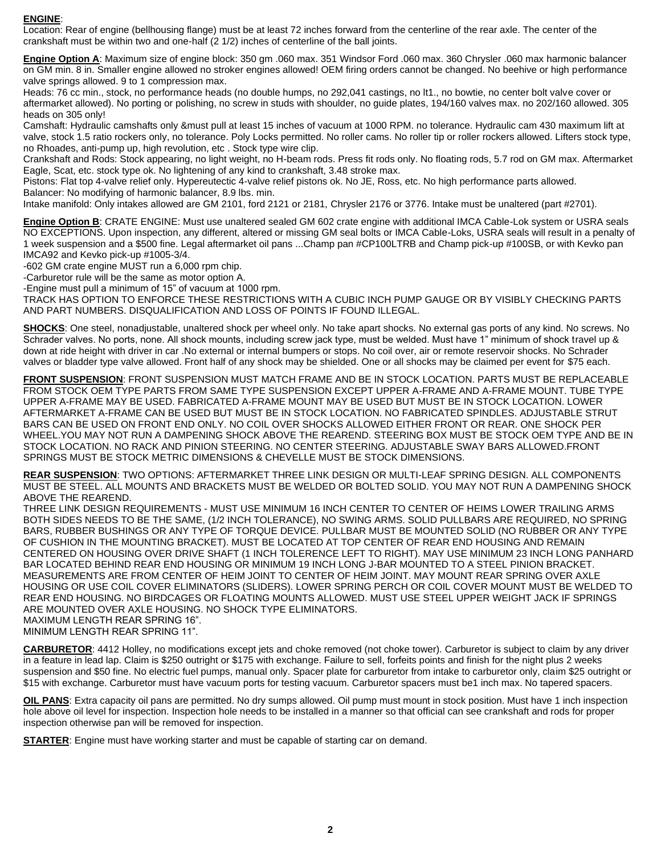## **ENGINE**:

Location: Rear of engine (bellhousing flange) must be at least 72 inches forward from the centerline of the rear axle. The center of the crankshaft must be within two and one-half (2 1/2) inches of centerline of the ball joints.

**Engine Option A**: Maximum size of engine block: 350 gm .060 max. 351 Windsor Ford .060 max. 360 Chrysler .060 max harmonic balancer on GM min. 8 in. Smaller engine allowed no stroker engines allowed! OEM firing orders cannot be changed. No beehive or high performance valve springs allowed. 9 to 1 compression max.

Heads: 76 cc min., stock, no performance heads (no double humps, no 292,041 castings, no lt1., no bowtie, no center bolt valve cover or aftermarket allowed). No porting or polishing, no screw in studs with shoulder, no guide plates, 194/160 valves max. no 202/160 allowed. 305 heads on 305 only!

Camshaft: Hydraulic camshafts only &must pull at least 15 inches of vacuum at 1000 RPM. no tolerance. Hydraulic cam 430 maximum lift at valve, stock 1.5 ratio rockers only, no tolerance. Poly Locks permitted. No roller cams. No roller tip or roller rockers allowed. Lifters stock type, no Rhoades, anti-pump up, high revolution, etc . Stock type wire clip.

Crankshaft and Rods: Stock appearing, no light weight, no H-beam rods. Press fit rods only. No floating rods, 5.7 rod on GM max. Aftermarket Eagle, Scat, etc. stock type ok. No lightening of any kind to crankshaft, 3.48 stroke max.

Pistons: Flat top 4-valve relief only. Hypereutectic 4-valve relief pistons ok. No JE, Ross, etc. No high performance parts allowed. Balancer: No modifying of harmonic balancer, 8.9 lbs. min.

Intake manifold: Only intakes allowed are GM 2101, ford 2121 or 2181, Chrysler 2176 or 3776. Intake must be unaltered (part #2701).

**Engine Option B**: CRATE ENGINE: Must use unaltered sealed GM 602 crate engine with additional IMCA Cable-Lok system or USRA seals NO EXCEPTIONS. Upon inspection, any different, altered or missing GM seal bolts or IMCA Cable-Loks, USRA seals will result in a penalty of 1 week suspension and a \$500 fine. Legal aftermarket oil pans ...Champ pan #CP100LTRB and Champ pick-up #100SB, or with Kevko pan IMCA92 and Kevko pick-up #1005-3/4.

-602 GM crate engine MUST run a 6,000 rpm chip.

-Carburetor rule will be the same as motor option A.

-Engine must pull a minimum of 15" of vacuum at 1000 rpm.

TRACK HAS OPTION TO ENFORCE THESE RESTRICTIONS WITH A CUBIC INCH PUMP GAUGE OR BY VISIBLY CHECKING PARTS AND PART NUMBERS. DISQUALIFICATION AND LOSS OF POINTS IF FOUND ILLEGAL.

**SHOCKS**: One steel, nonadjustable, unaltered shock per wheel only. No take apart shocks. No external gas ports of any kind. No screws. No Schrader valves. No ports, none. All shock mounts, including screw jack type, must be welded. Must have 1" minimum of shock travel up & down at ride height with driver in car .No external or internal bumpers or stops. No coil over, air or remote reservoir shocks. No Schrader valves or bladder type valve allowed. Front half of any shock may be shielded. One or all shocks may be claimed per event for \$75 each.

**FRONT SUSPENSION**: FRONT SUSPENSION MUST MATCH FRAME AND BE IN STOCK LOCATION. PARTS MUST BE REPLACEABLE FROM STOCK OEM TYPE PARTS FROM SAME TYPE SUSPENSION EXCEPT UPPER A-FRAME AND A-FRAME MOUNT. TUBE TYPE UPPER A-FRAME MAY BE USED. FABRICATED A-FRAME MOUNT MAY BE USED BUT MUST BE IN STOCK LOCATION. LOWER AFTERMARKET A-FRAME CAN BE USED BUT MUST BE IN STOCK LOCATION. NO FABRICATED SPINDLES. ADJUSTABLE STRUT BARS CAN BE USED ON FRONT END ONLY. NO COIL OVER SHOCKS ALLOWED EITHER FRONT OR REAR. ONE SHOCK PER WHEEL.YOU MAY NOT RUN A DAMPENING SHOCK ABOVE THE REAREND. STEERING BOX MUST BE STOCK OEM TYPE AND BE IN STOCK LOCATION. NO RACK AND PINION STEERING. NO CENTER STEERING. ADJUSTABLE SWAY BARS ALLOWED.FRONT SPRINGS MUST BE STOCK METRIC DIMENSIONS & CHEVELLE MUST BE STOCK DIMENSIONS.

**REAR SUSPENSION**: TWO OPTIONS: AFTERMARKET THREE LINK DESIGN OR MULTI-LEAF SPRING DESIGN. ALL COMPONENTS MUST BE STEEL. ALL MOUNTS AND BRACKETS MUST BE WELDED OR BOLTED SOLID. YOU MAY NOT RUN A DAMPENING SHOCK ABOVE THE REAREND.

THREE LINK DESIGN REQUIREMENTS - MUST USE MINIMUM 16 INCH CENTER TO CENTER OF HEIMS LOWER TRAILING ARMS BOTH SIDES NEEDS TO BE THE SAME, (1/2 INCH TOLERANCE), NO SWING ARMS. SOLID PULLBARS ARE REQUIRED, NO SPRING BARS, RUBBER BUSHINGS OR ANY TYPE OF TORQUE DEVICE. PULLBAR MUST BE MOUNTED SOLID (NO RUBBER OR ANY TYPE OF CUSHION IN THE MOUNTING BRACKET). MUST BE LOCATED AT TOP CENTER OF REAR END HOUSING AND REMAIN CENTERED ON HOUSING OVER DRIVE SHAFT (1 INCH TOLERENCE LEFT TO RIGHT). MAY USE MINIMUM 23 INCH LONG PANHARD BAR LOCATED BEHIND REAR END HOUSING OR MINIMUM 19 INCH LONG J-BAR MOUNTED TO A STEEL PINION BRACKET. MEASUREMENTS ARE FROM CENTER OF HEIM JOINT TO CENTER OF HEIM JOINT. MAY MOUNT REAR SPRING OVER AXLE HOUSING OR USE COIL COVER ELIMINATORS (SLIDERS). LOWER SPRING PERCH OR COIL COVER MOUNT MUST BE WELDED TO REAR END HOUSING. NO BIRDCAGES OR FLOATING MOUNTS ALLOWED. MUST USE STEEL UPPER WEIGHT JACK IF SPRINGS ARE MOUNTED OVER AXLE HOUSING. NO SHOCK TYPE ELIMINATORS. MAXIMUM LENGTH REAR SPRING 16". MINIMUM LENGTH REAR SPRING 11".

**CARBURETOR**: 4412 Holley, no modifications except jets and choke removed (not choke tower). Carburetor is subject to claim by any driver in a feature in lead lap. Claim is \$250 outright or \$175 with exchange. Failure to sell, forfeits points and finish for the night plus 2 weeks suspension and \$50 fine. No electric fuel pumps, manual only. Spacer plate for carburetor from intake to carburetor only, claim \$25 outright or \$15 with exchange. Carburetor must have vacuum ports for testing vacuum. Carburetor spacers must be1 inch max. No tapered spacers.

**OIL PANS**: Extra capacity oil pans are permitted. No dry sumps allowed. Oil pump must mount in stock position. Must have 1 inch inspection hole above oil level for inspection. Inspection hole needs to be installed in a manner so that official can see crankshaft and rods for proper inspection otherwise pan will be removed for inspection.

**STARTER**: Engine must have working starter and must be capable of starting car on demand.